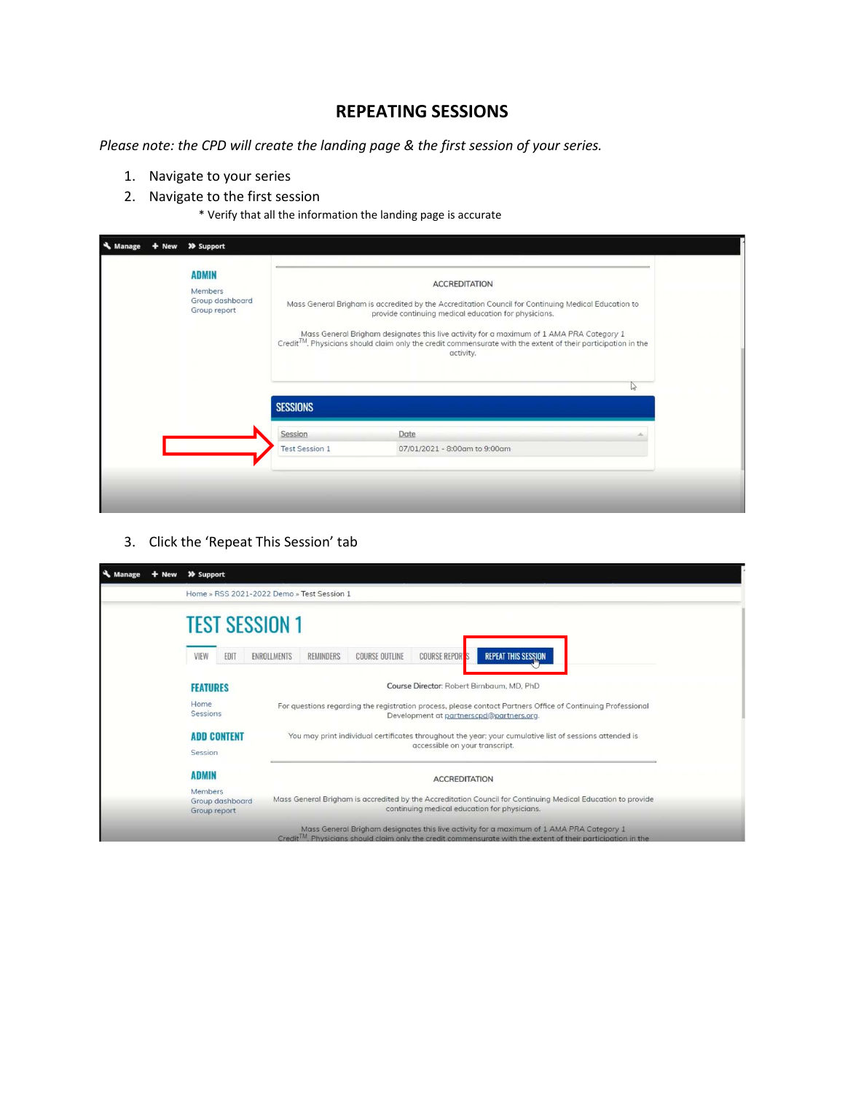## **REPEATING SESSIONS**

*Please note: the CPD will create the landing page & the first session of your series.* 

- 1. Navigate to your series
- 2. Navigate to the first session

\* Verify that all the information the landing page is accurate

| Manage | >> Support                                                 |                       |                                                                                                                                                                                                                                                                                                                                                                                                                    |          |
|--------|------------------------------------------------------------|-----------------------|--------------------------------------------------------------------------------------------------------------------------------------------------------------------------------------------------------------------------------------------------------------------------------------------------------------------------------------------------------------------------------------------------------------------|----------|
|        | <b>ADMIN</b><br>Members<br>Group dashboard<br>Group report |                       | <b>ACCREDITATION</b><br>Mass General Brigham is accredited by the Accreditation Council for Continuing Medical Education to<br>provide continuing medical education for physicians.<br>Mass General Brigham designates this live activity for a maximum of 1 AMA PRA Category 1<br>$Credit^{TM}$ . Physicians should claim only the credit commensurate with the extent of their participation in the<br>activity. | $\gamma$ |
|        |                                                            | <b>SESSIONS</b>       |                                                                                                                                                                                                                                                                                                                                                                                                                    |          |
|        |                                                            | Session               | Date                                                                                                                                                                                                                                                                                                                                                                                                               |          |
|        |                                                            | <b>Test Session 1</b> | 07/01/2021 - 8:00am to 9:00am                                                                                                                                                                                                                                                                                                                                                                                      |          |
|        |                                                            |                       |                                                                                                                                                                                                                                                                                                                                                                                                                    |          |

3. Click the 'Repeat This Session' tab

| Manage | + New >> Support                           |                                                                                                                                                                                                                       |  |
|--------|--------------------------------------------|-----------------------------------------------------------------------------------------------------------------------------------------------------------------------------------------------------------------------|--|
|        |                                            | Home » RSS 2021-2022 Demo » Test Session 1                                                                                                                                                                            |  |
|        | <b>TEST SESSION 1</b>                      |                                                                                                                                                                                                                       |  |
|        | VIEW<br>EDIT                               | <b>REPEAT THIS SESSION</b><br><b>COURSE REPORT</b><br><b>COURSE OUTLINE</b><br><b>ENROLLMENTS</b><br>REMINDERS                                                                                                        |  |
|        | <b>FEATURES</b>                            | Course Director: Robert Birnbaum, MD, PhD                                                                                                                                                                             |  |
|        | Home<br>Sessions                           | For questions regarding the registration process, please contact Partners Office of Continuing Professional<br>Development at partnerscpd@partners.org.                                                               |  |
|        | <b>ADD CONTENT</b><br>Session              | You may print individual certificates throughout the year; your cumulative list of sessions attended is<br>accessible on your transcript.                                                                             |  |
|        | <b>ADMIN</b>                               | <b>ACCREDITATION</b>                                                                                                                                                                                                  |  |
|        | Members<br>Group dashboard<br>Group report | Mass General Brigham is accredited by the Accreditation Council for Continuing Medical Education to provide<br>continuing medical education for physicians.                                                           |  |
|        |                                            | Mass General Brigham designates this live activity for a maximum of 1 AMA PRA Category 1<br>Credit <sup>TM</sup> . Physicians should claim only the credit commensurate with the extent of their participation in the |  |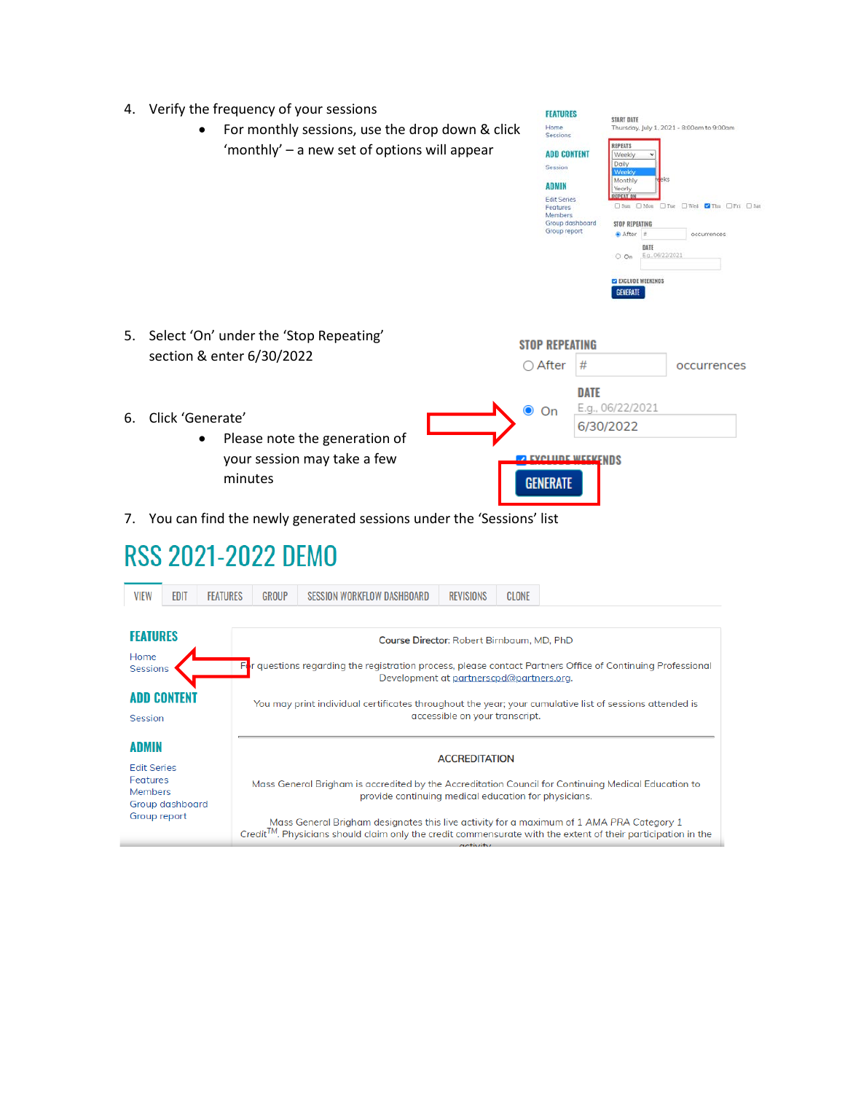- 4. Verify the frequency of your sessions
	- For monthly sessions, use the drop down & click 'monthly' – a new set of options will appear

|    | verify the inequency of your sessions<br>For monthly sessions, use the drop down & click<br>$\bullet$<br>'monthly' – a new set of options will appear | <b>FLATURES</b><br>Home<br>Sessions<br><b>ADD CONTENT</b><br><b>Session</b><br><b>ADMIN</b><br><b>Edit Series</b><br><b>Features</b><br>Members<br>Group report | Group dashboard | <b>START DATE</b><br><b>REPEATS</b><br>Weekly.<br>Daily<br>Weekly<br>Monthly<br>ske<br>Yearly<br><b>REPEAT ON</b><br>□ Stan □ Mon<br><b>STOP REPEATING</b><br>After #<br>DATE<br>E.g., 06/22/2021<br>$O$ On<br><b>CO EXCLUDE WEEKENDS</b><br><b>GENERATE</b> | Thursday, July 1, 2021 - 8:00am to 9:00am<br>□Tue □Wed 7Thu □Fri □Sat<br>occurrences |
|----|-------------------------------------------------------------------------------------------------------------------------------------------------------|-----------------------------------------------------------------------------------------------------------------------------------------------------------------|-----------------|--------------------------------------------------------------------------------------------------------------------------------------------------------------------------------------------------------------------------------------------------------------|--------------------------------------------------------------------------------------|
| 5. | Select 'On' under the 'Stop Repeating'                                                                                                                | <b>STOP REPEATING</b>                                                                                                                                           |                 |                                                                                                                                                                                                                                                              |                                                                                      |
|    | section & enter 6/30/2022                                                                                                                             | $\bigcirc$ After                                                                                                                                                | #               |                                                                                                                                                                                                                                                              | occurrences                                                                          |
|    |                                                                                                                                                       | $\bullet$<br>On                                                                                                                                                 | <b>DATE</b>     | E.g., 06/22/2021                                                                                                                                                                                                                                             |                                                                                      |
| 6. | Click 'Generate'<br>Please note the generation of<br>٠<br>your session may take a few<br>minutes                                                      | <b>DEVOLUDE WEEKENDS</b><br><b>GENERATE</b>                                                                                                                     | 6/30/2022       |                                                                                                                                                                                                                                                              |                                                                                      |

**FEATURES** 

7. You can find the newly generated sessions under the 'Sessions' list

## **RSS 2021-2022 DEMO**

| <b>VIEW</b>                                      | EDIT            | <b>FEATURES</b> | GROUP                                                                                                                                     | SESSION WORKFLOW DASHBOARD | REVISIONS            | CLONE                                                                                                                                                                                                                 |  |
|--------------------------------------------------|-----------------|-----------------|-------------------------------------------------------------------------------------------------------------------------------------------|----------------------------|----------------------|-----------------------------------------------------------------------------------------------------------------------------------------------------------------------------------------------------------------------|--|
| <b>FEATURES</b>                                  |                 |                 |                                                                                                                                           |                            |                      | Course Director: Robert Birnbaum, MD, PhD                                                                                                                                                                             |  |
| Home<br><b>Sessions</b>                          |                 | F               |                                                                                                                                           |                            |                      | r questions regarding the registration process, please contact Partners Office of Continuing Professional<br>Development at partnerscpd@partners.org.                                                                 |  |
| Session                                          | ADD CONTENI     |                 | You may print individual certificates throughout the year; your cumulative list of sessions attended is<br>accessible on your transcript. |                            |                      |                                                                                                                                                                                                                       |  |
| ADMIN                                            |                 |                 |                                                                                                                                           |                            | <b>ACCREDITATION</b> |                                                                                                                                                                                                                       |  |
| <b>Edit Series</b><br>Features<br><b>Members</b> | Group dashboard |                 |                                                                                                                                           |                            |                      | Mass General Brigham is accredited by the Accreditation Council for Continuing Medical Education to<br>provide continuing medical education for physicians.                                                           |  |
| Group report                                     |                 |                 |                                                                                                                                           |                            | $\alpha$ ctivity     | Mass General Brigham designates this live activity for a maximum of 1 AMA PRA Category 1<br>Credit <sup>TM</sup> . Physicians should claim only the credit commensurate with the extent of their participation in the |  |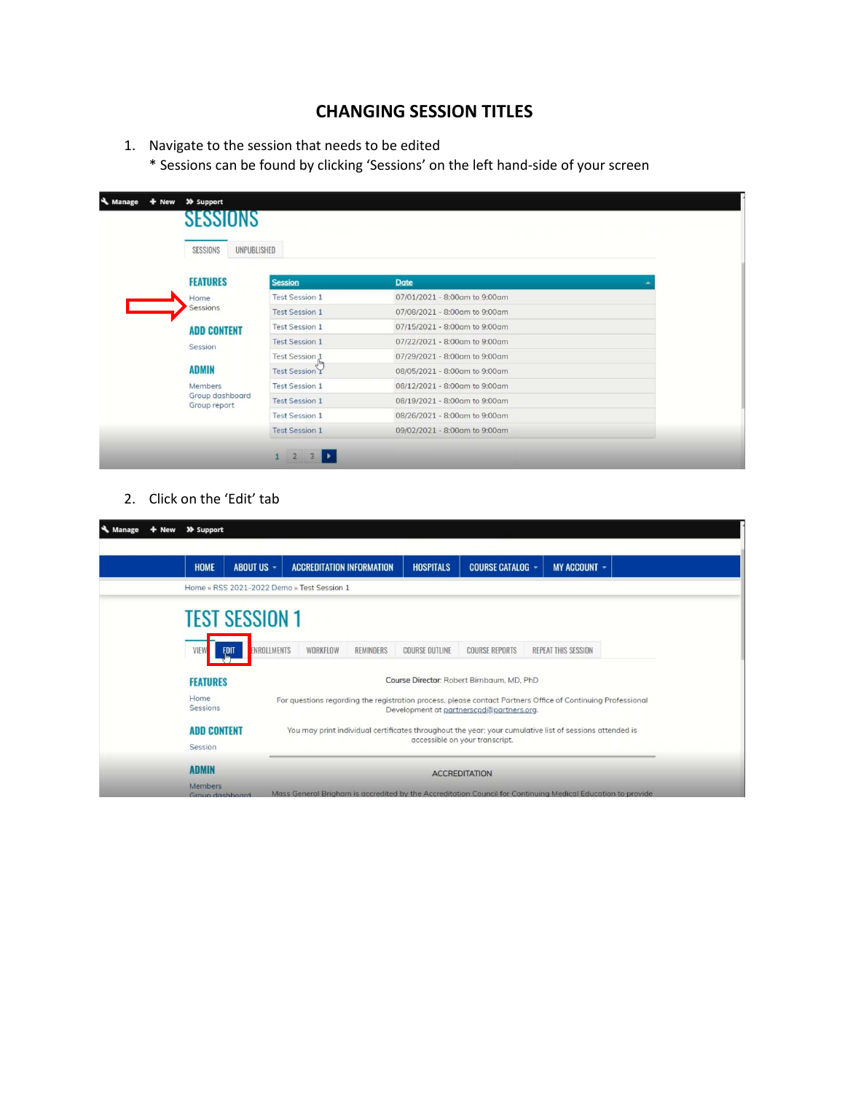## **CHANGING SESSION TITLES**

1. Navigate to the session that needs to be edited

\* Sessions can be found by clicking 'Sessions' on the left hand-side of your screen

| SESSIONS<br>UNPUBLISHED       |  |  |  |  |  |
|-------------------------------|--|--|--|--|--|
|                               |  |  |  |  |  |
| 07/01/2021 - 8:00am to 9:00am |  |  |  |  |  |
| 07/08/2021 - 8:00am to 9:00am |  |  |  |  |  |
| 07/15/2021 - 8:00am to 9:00am |  |  |  |  |  |
| 07/22/2021 - 8:00am to 9:00am |  |  |  |  |  |
| 07/29/2021 - 8:00am to 9:00am |  |  |  |  |  |
| 08/05/2021 - 8:00am to 9:00am |  |  |  |  |  |
| 08/12/2021 - 8:00am to 9:00am |  |  |  |  |  |
| 08/19/2021 - 8:00am to 9:00am |  |  |  |  |  |
| 08/26/2021 - 8:00am to 9:00am |  |  |  |  |  |
| 09/02/2021 - 8:00am to 9:00am |  |  |  |  |  |
|                               |  |  |  |  |  |

2. Click on the 'Edit' tab